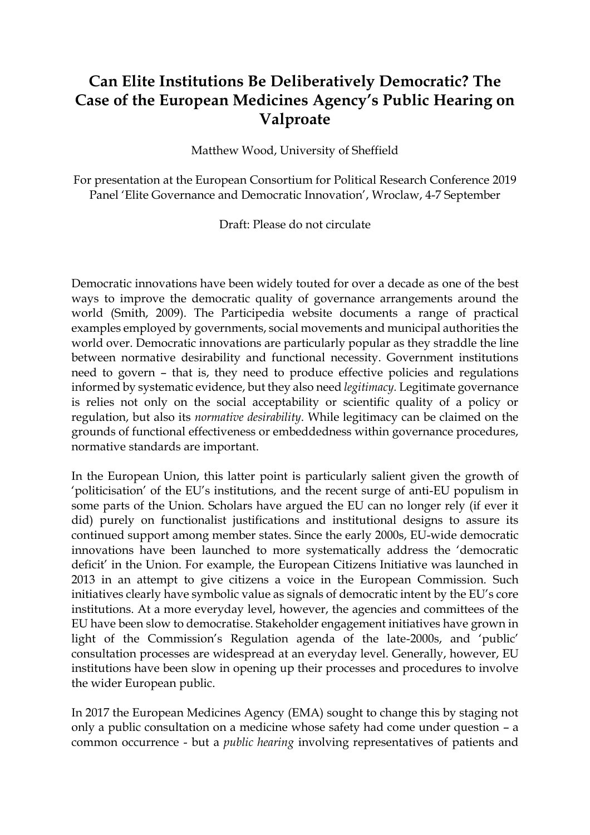# **Can Elite Institutions Be Deliberatively Democratic? The Case of the European Medicines Agency's Public Hearing on Valproate**

Matthew Wood, University of Sheffield

For presentation at the European Consortium for Political Research Conference 2019 Panel 'Elite Governance and Democratic Innovation', Wroclaw, 4-7 September

Draft: Please do not circulate

Democratic innovations have been widely touted for over a decade as one of the best ways to improve the democratic quality of governance arrangements around the world (Smith, 2009). The Participedia website documents a range of practical examples employed by governments, social movements and municipal authorities the world over. Democratic innovations are particularly popular as they straddle the line between normative desirability and functional necessity. Government institutions need to govern – that is, they need to produce effective policies and regulations informed by systematic evidence, but they also need *legitimacy.* Legitimate governance is relies not only on the social acceptability or scientific quality of a policy or regulation, but also its *normative desirability*. While legitimacy can be claimed on the grounds of functional effectiveness or embeddedness within governance procedures, normative standards are important.

In the European Union, this latter point is particularly salient given the growth of 'politicisation' of the EU's institutions, and the recent surge of anti-EU populism in some parts of the Union. Scholars have argued the EU can no longer rely (if ever it did) purely on functionalist justifications and institutional designs to assure its continued support among member states. Since the early 2000s, EU-wide democratic innovations have been launched to more systematically address the 'democratic deficit' in the Union. For example, the European Citizens Initiative was launched in 2013 in an attempt to give citizens a voice in the European Commission. Such initiatives clearly have symbolic value as signals of democratic intent by the EU's core institutions. At a more everyday level, however, the agencies and committees of the EU have been slow to democratise. Stakeholder engagement initiatives have grown in light of the Commission's Regulation agenda of the late-2000s, and 'public' consultation processes are widespread at an everyday level. Generally, however, EU institutions have been slow in opening up their processes and procedures to involve the wider European public.

In 2017 the European Medicines Agency (EMA) sought to change this by staging not only a public consultation on a medicine whose safety had come under question – a common occurrence - but a *public hearing* involving representatives of patients and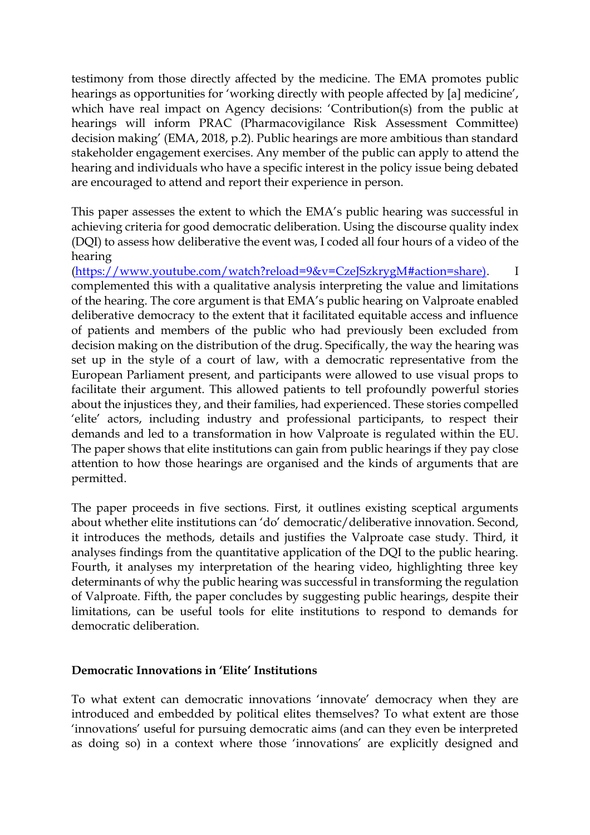testimony from those directly affected by the medicine. The EMA promotes public hearings as opportunities for 'working directly with people affected by [a] medicine', which have real impact on Agency decisions: 'Contribution(s) from the public at hearings will inform PRAC (Pharmacovigilance Risk Assessment Committee) decision making' (EMA, 2018, p.2). Public hearings are more ambitious than standard stakeholder engagement exercises. Any member of the public can apply to attend the hearing and individuals who have a specific interest in the policy issue being debated are encouraged to attend and report their experience in person.

This paper assesses the extent to which the EMA's public hearing was successful in achieving criteria for good democratic deliberation. Using the discourse quality index (DQI) to assess how deliberative the event was, I coded all four hours of a video of the hearing

[\(https://www.youtube.com/watch?reload=9&v=CzeJSzkrygM#action=share\).](https://www.youtube.com/watch?reload=9&v=CzeJSzkrygM#action=share)) I complemented this with a qualitative analysis interpreting the value and limitations of the hearing. The core argument is that EMA's public hearing on Valproate enabled deliberative democracy to the extent that it facilitated equitable access and influence of patients and members of the public who had previously been excluded from decision making on the distribution of the drug. Specifically, the way the hearing was set up in the style of a court of law, with a democratic representative from the European Parliament present, and participants were allowed to use visual props to facilitate their argument. This allowed patients to tell profoundly powerful stories about the injustices they, and their families, had experienced. These stories compelled 'elite' actors, including industry and professional participants, to respect their demands and led to a transformation in how Valproate is regulated within the EU. The paper shows that elite institutions can gain from public hearings if they pay close attention to how those hearings are organised and the kinds of arguments that are permitted.

The paper proceeds in five sections. First, it outlines existing sceptical arguments about whether elite institutions can 'do' democratic/deliberative innovation. Second, it introduces the methods, details and justifies the Valproate case study. Third, it analyses findings from the quantitative application of the DQI to the public hearing. Fourth, it analyses my interpretation of the hearing video, highlighting three key determinants of why the public hearing was successful in transforming the regulation of Valproate. Fifth, the paper concludes by suggesting public hearings, despite their limitations, can be useful tools for elite institutions to respond to demands for democratic deliberation.

#### **Democratic Innovations in 'Elite' Institutions**

To what extent can democratic innovations 'innovate' democracy when they are introduced and embedded by political elites themselves? To what extent are those 'innovations' useful for pursuing democratic aims (and can they even be interpreted as doing so) in a context where those 'innovations' are explicitly designed and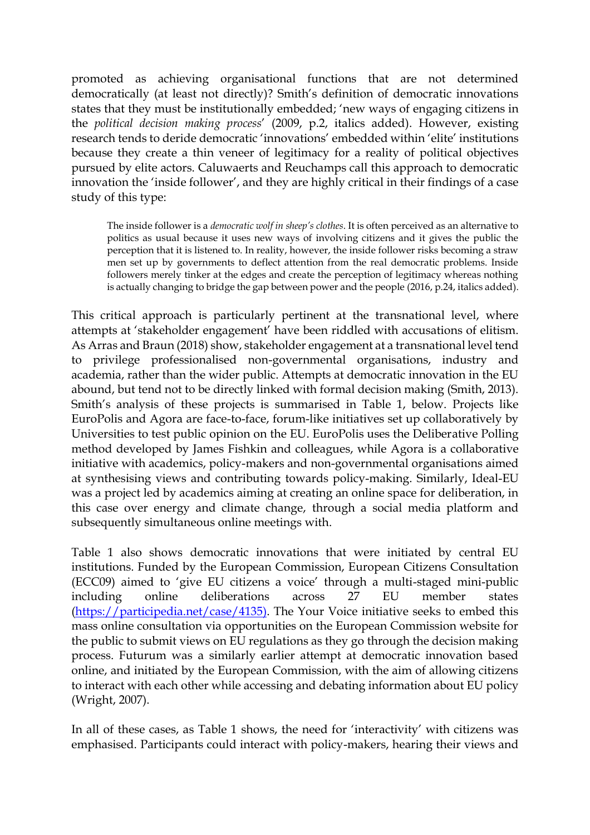promoted as achieving organisational functions that are not determined democratically (at least not directly)? Smith's definition of democratic innovations states that they must be institutionally embedded; 'new ways of engaging citizens in the *political decision making process*' (2009, p.2, italics added). However, existing research tends to deride democratic 'innovations' embedded within 'elite' institutions because they create a thin veneer of legitimacy for a reality of political objectives pursued by elite actors. Caluwaerts and Reuchamps call this approach to democratic innovation the 'inside follower', and they are highly critical in their findings of a case study of this type:

The inside follower is a *democratic wolf in sheep's clothes*. It is often perceived as an alternative to politics as usual because it uses new ways of involving citizens and it gives the public the perception that it is listened to. In reality, however, the inside follower risks becoming a straw men set up by governments to deflect attention from the real democratic problems. Inside followers merely tinker at the edges and create the perception of legitimacy whereas nothing is actually changing to bridge the gap between power and the people (2016, p.24, italics added).

This critical approach is particularly pertinent at the transnational level, where attempts at 'stakeholder engagement' have been riddled with accusations of elitism. As Arras and Braun (2018) show, stakeholder engagement at a transnational level tend to privilege professionalised non-governmental organisations, industry and academia, rather than the wider public. Attempts at democratic innovation in the EU abound, but tend not to be directly linked with formal decision making (Smith, 2013). Smith's analysis of these projects is summarised in Table 1, below. Projects like EuroPolis and Agora are face-to-face, forum-like initiatives set up collaboratively by Universities to test public opinion on the EU. EuroPolis uses the Deliberative Polling method developed by James Fishkin and colleagues, while Agora is a collaborative initiative with academics, policy-makers and non-governmental organisations aimed at synthesising views and contributing towards policy-making. Similarly, Ideal-EU was a project led by academics aiming at creating an online space for deliberation, in this case over energy and climate change, through a social media platform and subsequently simultaneous online meetings with.

Table 1 also shows democratic innovations that were initiated by central EU institutions. Funded by the European Commission, European Citizens Consultation (ECC09) aimed to 'give EU citizens a voice' through a multi-staged mini-public including online deliberations across 27 EU member states [\(https://participedia.net/case/4135\).](https://participedia.net/case/4135)) The Your Voice initiative seeks to embed this mass online consultation via opportunities on the European Commission website for the public to submit views on EU regulations as they go through the decision making process. Futurum was a similarly earlier attempt at democratic innovation based online, and initiated by the European Commission, with the aim of allowing citizens to interact with each other while accessing and debating information about EU policy (Wright, 2007).

In all of these cases, as Table 1 shows, the need for 'interactivity' with citizens was emphasised. Participants could interact with policy-makers, hearing their views and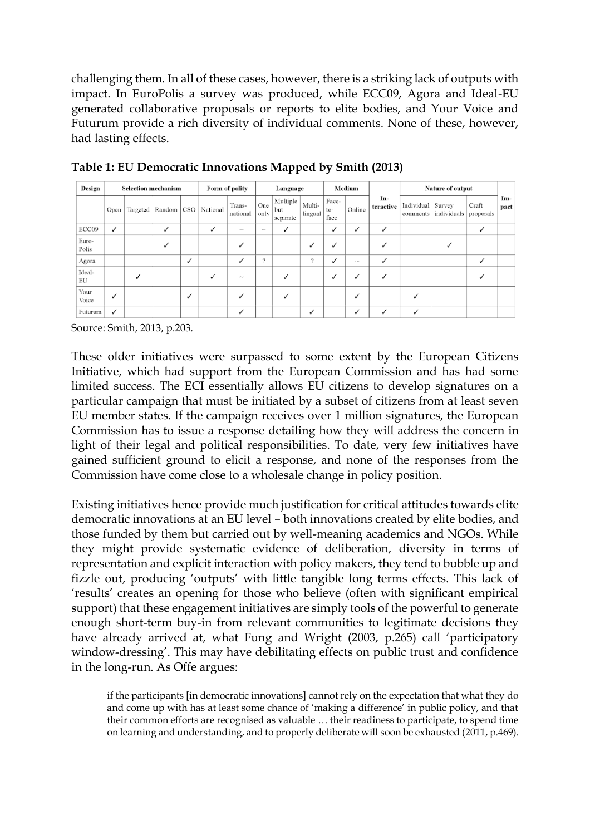challenging them. In all of these cases, however, there is a striking lack of outputs with impact. In EuroPolis a survey was produced, while ECC09, Agora and Ideal-EU generated collaborative proposals or reports to elite bodies, and Your Voice and Futurum provide a rich diversity of individual comments. None of these, however, had lasting effects.

| Design         |   | <b>Selection mechanism</b>                |              |   |              | Form of polity            |             | Language                    |                   | Medium                 |          |                  | <b>Nature of output</b> |                       |                    |               |
|----------------|---|-------------------------------------------|--------------|---|--------------|---------------------------|-------------|-----------------------------|-------------------|------------------------|----------|------------------|-------------------------|-----------------------|--------------------|---------------|
|                |   | Open   Targeted   Random   CSO   National |              |   |              | Trans-<br>national        | One<br>only | Multiple<br>but<br>separate | Multi-<br>lingual | Face-<br>$to-$<br>face | Online   | In-<br>teractive | Individual<br>comments  | Survey<br>individuals | Craft<br>proposals | $Im-$<br>pact |
| ECC09          | ✓ |                                           | $\checkmark$ |   | $\checkmark$ | $\widetilde{\phantom{m}}$ | $\sim$      | $\checkmark$                |                   | $\checkmark$           | ✓        | ✓                |                         |                       |                    |               |
| Euro-<br>Polis |   |                                           |              |   |              | ✓                         |             |                             | ✓                 |                        |          |                  |                         |                       |                    |               |
| Agora          |   |                                           |              | ✓ |              | ✓                         | ?           |                             | $\overline{?}$    | ✓                      | $\sigma$ | ✓                |                         |                       |                    |               |
| Ideal-<br>EU   |   |                                           |              |   |              | $\sim$                    |             |                             |                   | $\checkmark$           | ✓        | ✓                |                         |                       |                    |               |
| Your<br>Voice  | ✓ |                                           |              | ノ |              | ✓                         |             |                             |                   |                        |          |                  |                         |                       |                    |               |
| Futurum        | ✓ |                                           |              |   |              | ✓                         |             |                             | $\checkmark$      |                        | ✓        | ✓                |                         |                       |                    |               |

**Table 1: EU Democratic Innovations Mapped by Smith (2013)**

Source: Smith, 2013, p.203.

These older initiatives were surpassed to some extent by the European Citizens Initiative, which had support from the European Commission and has had some limited success. The ECI essentially allows EU citizens to develop signatures on a particular campaign that must be initiated by a subset of citizens from at least seven EU member states. If the campaign receives over 1 million signatures, the European Commission has to issue a response detailing how they will address the concern in light of their legal and political responsibilities. To date, very few initiatives have gained sufficient ground to elicit a response, and none of the responses from the Commission have come close to a wholesale change in policy position.

Existing initiatives hence provide much justification for critical attitudes towards elite democratic innovations at an EU level – both innovations created by elite bodies, and those funded by them but carried out by well-meaning academics and NGOs. While they might provide systematic evidence of deliberation, diversity in terms of representation and explicit interaction with policy makers, they tend to bubble up and fizzle out, producing 'outputs' with little tangible long terms effects. This lack of 'results' creates an opening for those who believe (often with significant empirical support) that these engagement initiatives are simply tools of the powerful to generate enough short-term buy-in from relevant communities to legitimate decisions they have already arrived at, what Fung and Wright (2003, p.265) call 'participatory window-dressing'. This may have debilitating effects on public trust and confidence in the long-run. As Offe argues:

if the participants [in democratic innovations] cannot rely on the expectation that what they do and come up with has at least some chance of 'making a difference' in public policy, and that their common efforts are recognised as valuable … their readiness to participate, to spend time on learning and understanding, and to properly deliberate will soon be exhausted (2011, p.469).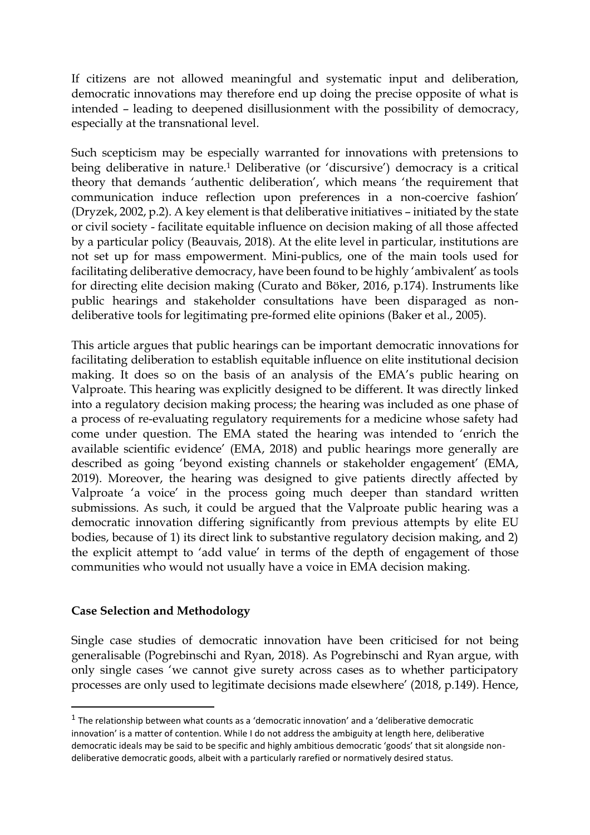If citizens are not allowed meaningful and systematic input and deliberation, democratic innovations may therefore end up doing the precise opposite of what is intended – leading to deepened disillusionment with the possibility of democracy, especially at the transnational level.

Such scepticism may be especially warranted for innovations with pretensions to being deliberative in nature.<sup>1</sup> Deliberative (or 'discursive') democracy is a critical theory that demands 'authentic deliberation', which means 'the requirement that communication induce reflection upon preferences in a non-coercive fashion' (Dryzek, 2002, p.2). A key element is that deliberative initiatives – initiated by the state or civil society - facilitate equitable influence on decision making of all those affected by a particular policy (Beauvais, 2018). At the elite level in particular, institutions are not set up for mass empowerment. Mini-publics, one of the main tools used for facilitating deliberative democracy, have been found to be highly 'ambivalent' as tools for directing elite decision making (Curato and Böker, 2016, p.174). Instruments like public hearings and stakeholder consultations have been disparaged as nondeliberative tools for legitimating pre-formed elite opinions (Baker et al., 2005).

This article argues that public hearings can be important democratic innovations for facilitating deliberation to establish equitable influence on elite institutional decision making. It does so on the basis of an analysis of the EMA's public hearing on Valproate. This hearing was explicitly designed to be different. It was directly linked into a regulatory decision making process; the hearing was included as one phase of a process of re-evaluating regulatory requirements for a medicine whose safety had come under question. The EMA stated the hearing was intended to 'enrich the available scientific evidence' (EMA, 2018) and public hearings more generally are described as going 'beyond existing channels or stakeholder engagement' (EMA, 2019). Moreover, the hearing was designed to give patients directly affected by Valproate 'a voice' in the process going much deeper than standard written submissions. As such, it could be argued that the Valproate public hearing was a democratic innovation differing significantly from previous attempts by elite EU bodies, because of 1) its direct link to substantive regulatory decision making, and 2) the explicit attempt to 'add value' in terms of the depth of engagement of those communities who would not usually have a voice in EMA decision making.

# **Case Selection and Methodology**

 $\overline{a}$ 

Single case studies of democratic innovation have been criticised for not being generalisable (Pogrebinschi and Ryan, 2018). As Pogrebinschi and Ryan argue, with only single cases 'we cannot give surety across cases as to whether participatory processes are only used to legitimate decisions made elsewhere' (2018, p.149). Hence,

 $<sup>1</sup>$  The relationship between what counts as a 'democratic innovation' and a 'deliberative democratic</sup> innovation' is a matter of contention. While I do not address the ambiguity at length here, deliberative democratic ideals may be said to be specific and highly ambitious democratic 'goods' that sit alongside nondeliberative democratic goods, albeit with a particularly rarefied or normatively desired status.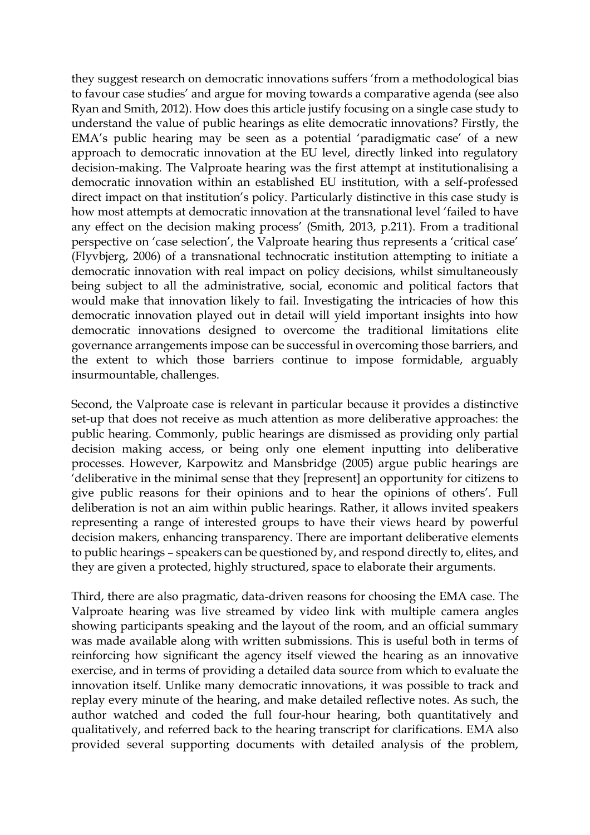they suggest research on democratic innovations suffers 'from a methodological bias to favour case studies' and argue for moving towards a comparative agenda (see also Ryan and Smith, 2012). How does this article justify focusing on a single case study to understand the value of public hearings as elite democratic innovations? Firstly, the EMA's public hearing may be seen as a potential 'paradigmatic case' of a new approach to democratic innovation at the EU level, directly linked into regulatory decision-making. The Valproate hearing was the first attempt at institutionalising a democratic innovation within an established EU institution, with a self-professed direct impact on that institution's policy. Particularly distinctive in this case study is how most attempts at democratic innovation at the transnational level 'failed to have any effect on the decision making process' (Smith, 2013, p.211). From a traditional perspective on 'case selection', the Valproate hearing thus represents a 'critical case' (Flyvbjerg, 2006) of a transnational technocratic institution attempting to initiate a democratic innovation with real impact on policy decisions, whilst simultaneously being subject to all the administrative, social, economic and political factors that would make that innovation likely to fail. Investigating the intricacies of how this democratic innovation played out in detail will yield important insights into how democratic innovations designed to overcome the traditional limitations elite governance arrangements impose can be successful in overcoming those barriers, and the extent to which those barriers continue to impose formidable, arguably insurmountable, challenges.

Second, the Valproate case is relevant in particular because it provides a distinctive set-up that does not receive as much attention as more deliberative approaches: the public hearing. Commonly, public hearings are dismissed as providing only partial decision making access, or being only one element inputting into deliberative processes. However, Karpowitz and Mansbridge (2005) argue public hearings are 'deliberative in the minimal sense that they [represent] an opportunity for citizens to give public reasons for their opinions and to hear the opinions of others'. Full deliberation is not an aim within public hearings. Rather, it allows invited speakers representing a range of interested groups to have their views heard by powerful decision makers, enhancing transparency. There are important deliberative elements to public hearings – speakers can be questioned by, and respond directly to, elites, and they are given a protected, highly structured, space to elaborate their arguments.

Third, there are also pragmatic, data-driven reasons for choosing the EMA case. The Valproate hearing was live streamed by video link with multiple camera angles showing participants speaking and the layout of the room, and an official summary was made available along with written submissions. This is useful both in terms of reinforcing how significant the agency itself viewed the hearing as an innovative exercise, and in terms of providing a detailed data source from which to evaluate the innovation itself. Unlike many democratic innovations, it was possible to track and replay every minute of the hearing, and make detailed reflective notes. As such, the author watched and coded the full four-hour hearing, both quantitatively and qualitatively, and referred back to the hearing transcript for clarifications. EMA also provided several supporting documents with detailed analysis of the problem,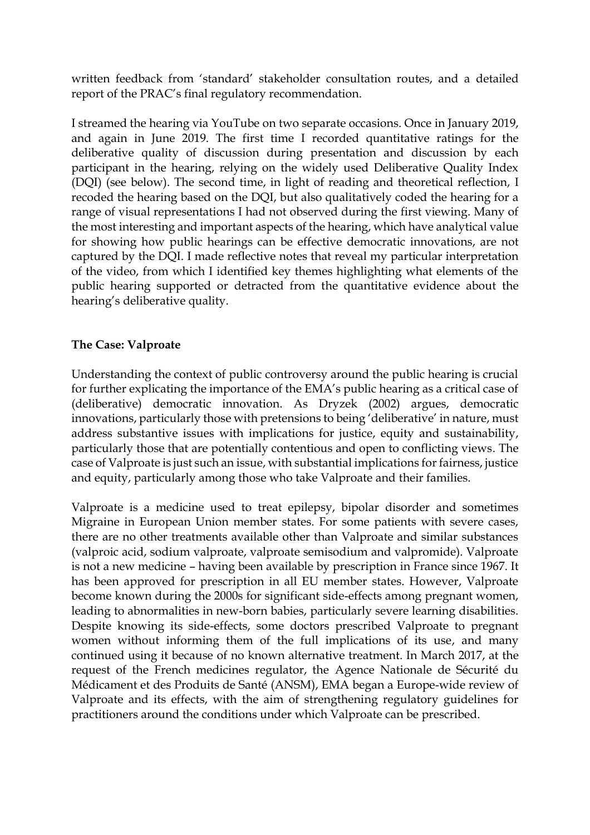written feedback from 'standard' stakeholder consultation routes, and a detailed report of the PRAC's final regulatory recommendation.

I streamed the hearing via YouTube on two separate occasions. Once in January 2019, and again in June 2019. The first time I recorded quantitative ratings for the deliberative quality of discussion during presentation and discussion by each participant in the hearing, relying on the widely used Deliberative Quality Index (DQI) (see below). The second time, in light of reading and theoretical reflection, I recoded the hearing based on the DQI, but also qualitatively coded the hearing for a range of visual representations I had not observed during the first viewing. Many of the most interesting and important aspects of the hearing, which have analytical value for showing how public hearings can be effective democratic innovations, are not captured by the DQI. I made reflective notes that reveal my particular interpretation of the video, from which I identified key themes highlighting what elements of the public hearing supported or detracted from the quantitative evidence about the hearing's deliberative quality.

# **The Case: Valproate**

Understanding the context of public controversy around the public hearing is crucial for further explicating the importance of the EMA's public hearing as a critical case of (deliberative) democratic innovation. As Dryzek (2002) argues, democratic innovations, particularly those with pretensions to being 'deliberative' in nature, must address substantive issues with implications for justice, equity and sustainability, particularly those that are potentially contentious and open to conflicting views. The case of Valproate is just such an issue, with substantial implications for fairness, justice and equity, particularly among those who take Valproate and their families.

Valproate is a medicine used to treat epilepsy, bipolar disorder and sometimes Migraine in European Union member states. For some patients with severe cases, there are no other treatments available other than Valproate and similar substances (valproic acid, sodium valproate, valproate semisodium and valpromide). Valproate is not a new medicine – having been available by prescription in France since 1967. It has been approved for prescription in all EU member states. However, Valproate become known during the 2000s for significant side-effects among pregnant women, leading to abnormalities in new-born babies, particularly severe learning disabilities. Despite knowing its side-effects, some doctors prescribed Valproate to pregnant women without informing them of the full implications of its use, and many continued using it because of no known alternative treatment. In March 2017, at the request of the French medicines regulator, the Agence Nationale de Sécurité du Médicament et des Produits de Santé (ANSM), EMA began a Europe-wide review of Valproate and its effects, with the aim of strengthening regulatory guidelines for practitioners around the conditions under which Valproate can be prescribed.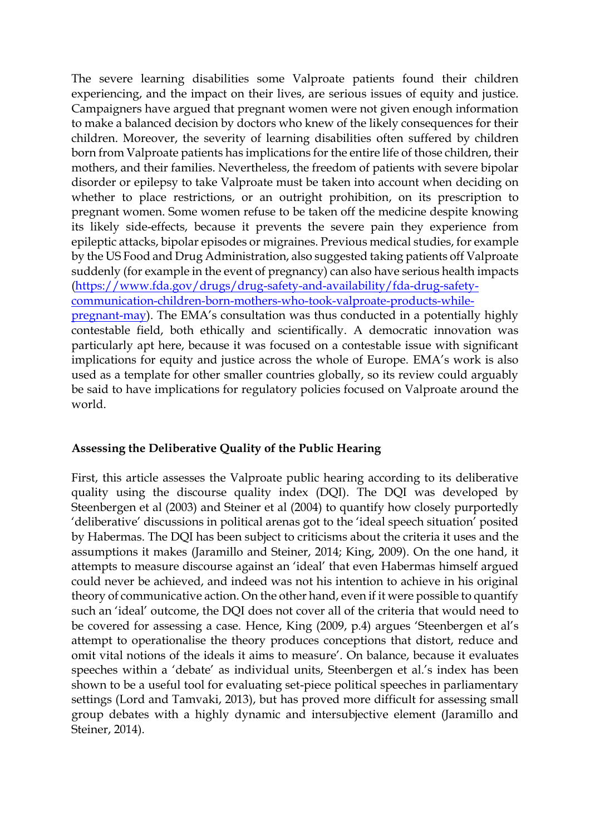The severe learning disabilities some Valproate patients found their children experiencing, and the impact on their lives, are serious issues of equity and justice. Campaigners have argued that pregnant women were not given enough information to make a balanced decision by doctors who knew of the likely consequences for their children. Moreover, the severity of learning disabilities often suffered by children born from Valproate patients has implications for the entire life of those children, their mothers, and their families. Nevertheless, the freedom of patients with severe bipolar disorder or epilepsy to take Valproate must be taken into account when deciding on whether to place restrictions, or an outright prohibition, on its prescription to pregnant women. Some women refuse to be taken off the medicine despite knowing its likely side-effects, because it prevents the severe pain they experience from epileptic attacks, bipolar episodes or migraines. Previous medical studies, for example by the US Food and Drug Administration, also suggested taking patients off Valproate suddenly (for example in the event of pregnancy) can also have serious health impacts [\(https://www.fda.gov/drugs/drug-safety-and-availability/fda-drug-safety](https://www.fda.gov/drugs/drug-safety-and-availability/fda-drug-safety-communication-children-born-mothers-who-took-valproate-products-while-pregnant-may)[communication-children-born-mothers-who-took-valproate-products-while](https://www.fda.gov/drugs/drug-safety-and-availability/fda-drug-safety-communication-children-born-mothers-who-took-valproate-products-while-pregnant-may)[pregnant-may\)](https://www.fda.gov/drugs/drug-safety-and-availability/fda-drug-safety-communication-children-born-mothers-who-took-valproate-products-while-pregnant-may). The EMA's consultation was thus conducted in a potentially highly contestable field, both ethically and scientifically. A democratic innovation was particularly apt here, because it was focused on a contestable issue with significant implications for equity and justice across the whole of Europe. EMA's work is also used as a template for other smaller countries globally, so its review could arguably be said to have implications for regulatory policies focused on Valproate around the

#### **Assessing the Deliberative Quality of the Public Hearing**

world.

First, this article assesses the Valproate public hearing according to its deliberative quality using the discourse quality index (DQI). The DQI was developed by Steenbergen et al (2003) and Steiner et al (2004) to quantify how closely purportedly 'deliberative' discussions in political arenas got to the 'ideal speech situation' posited by Habermas. The DQI has been subject to criticisms about the criteria it uses and the assumptions it makes (Jaramillo and Steiner, 2014; King, 2009). On the one hand, it attempts to measure discourse against an 'ideal' that even Habermas himself argued could never be achieved, and indeed was not his intention to achieve in his original theory of communicative action. On the other hand, even if it were possible to quantify such an 'ideal' outcome, the DQI does not cover all of the criteria that would need to be covered for assessing a case. Hence, King (2009, p.4) argues 'Steenbergen et al's attempt to operationalise the theory produces conceptions that distort, reduce and omit vital notions of the ideals it aims to measure'. On balance, because it evaluates speeches within a 'debate' as individual units, Steenbergen et al.'s index has been shown to be a useful tool for evaluating set-piece political speeches in parliamentary settings (Lord and Tamvaki, 2013), but has proved more difficult for assessing small group debates with a highly dynamic and intersubjective element (Jaramillo and Steiner, 2014).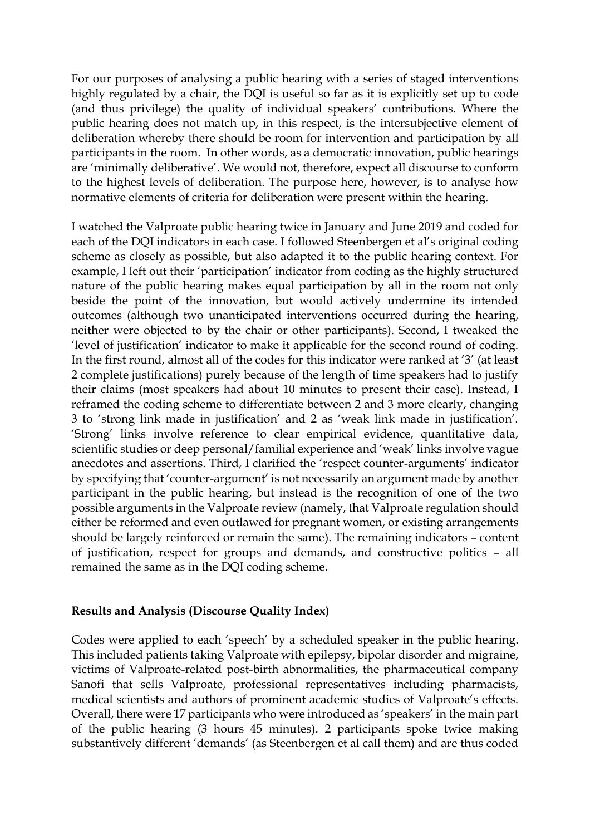For our purposes of analysing a public hearing with a series of staged interventions highly regulated by a chair, the DQI is useful so far as it is explicitly set up to code (and thus privilege) the quality of individual speakers' contributions. Where the public hearing does not match up, in this respect, is the intersubjective element of deliberation whereby there should be room for intervention and participation by all participants in the room. In other words, as a democratic innovation, public hearings are 'minimally deliberative'. We would not, therefore, expect all discourse to conform to the highest levels of deliberation. The purpose here, however, is to analyse how normative elements of criteria for deliberation were present within the hearing.

I watched the Valproate public hearing twice in January and June 2019 and coded for each of the DQI indicators in each case. I followed Steenbergen et al's original coding scheme as closely as possible, but also adapted it to the public hearing context. For example, I left out their 'participation' indicator from coding as the highly structured nature of the public hearing makes equal participation by all in the room not only beside the point of the innovation, but would actively undermine its intended outcomes (although two unanticipated interventions occurred during the hearing, neither were objected to by the chair or other participants). Second, I tweaked the 'level of justification' indicator to make it applicable for the second round of coding. In the first round, almost all of the codes for this indicator were ranked at '3' (at least 2 complete justifications) purely because of the length of time speakers had to justify their claims (most speakers had about 10 minutes to present their case). Instead, I reframed the coding scheme to differentiate between 2 and 3 more clearly, changing 3 to 'strong link made in justification' and 2 as 'weak link made in justification'. 'Strong' links involve reference to clear empirical evidence, quantitative data, scientific studies or deep personal/familial experience and 'weak' links involve vague anecdotes and assertions. Third, I clarified the 'respect counter-arguments' indicator by specifying that 'counter-argument' is not necessarily an argument made by another participant in the public hearing, but instead is the recognition of one of the two possible arguments in the Valproate review (namely, that Valproate regulation should either be reformed and even outlawed for pregnant women, or existing arrangements should be largely reinforced or remain the same). The remaining indicators – content of justification, respect for groups and demands, and constructive politics – all remained the same as in the DQI coding scheme.

#### **Results and Analysis (Discourse Quality Index)**

Codes were applied to each 'speech' by a scheduled speaker in the public hearing. This included patients taking Valproate with epilepsy, bipolar disorder and migraine, victims of Valproate-related post-birth abnormalities, the pharmaceutical company Sanofi that sells Valproate, professional representatives including pharmacists, medical scientists and authors of prominent academic studies of Valproate's effects. Overall, there were 17 participants who were introduced as 'speakers' in the main part of the public hearing (3 hours 45 minutes). 2 participants spoke twice making substantively different 'demands' (as Steenbergen et al call them) and are thus coded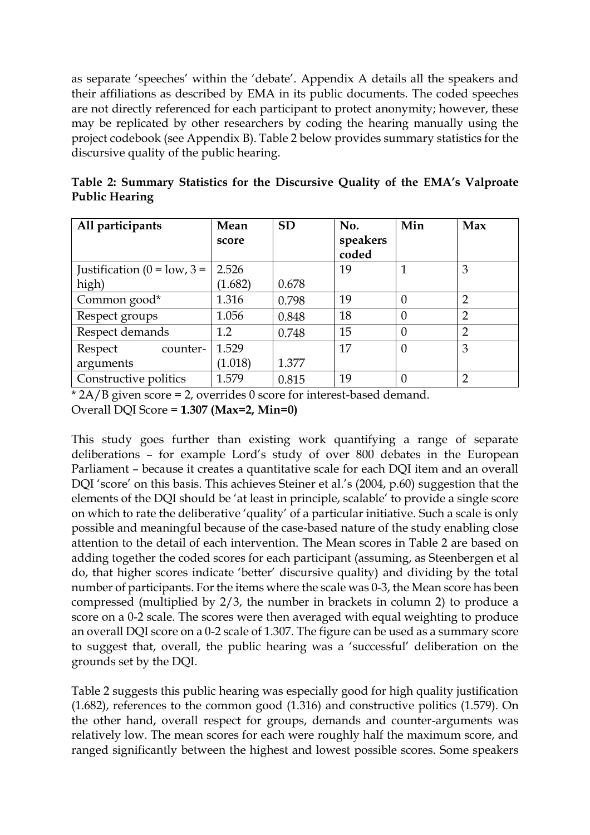as separate 'speeches' within the 'debate'. Appendix A details all the speakers and their affiliations as described by EMA in its public documents. The coded speeches are not directly referenced for each participant to protect anonymity; however, these may be replicated by other researchers by coding the hearing manually using the project codebook (see Appendix B). Table 2 below provides summary statistics for the discursive quality of the public hearing.

| All participants                      | Mean<br>score | <b>SD</b> | No.<br>speakers<br>coded | Min      | Max            |
|---------------------------------------|---------------|-----------|--------------------------|----------|----------------|
| Justification ( $0 = \text{low}, 3 =$ | 2.526         |           | 19                       |          | 3              |
| high)                                 | (1.682)       | 0.678     |                          |          |                |
| Common good*                          | 1.316         | 0.798     | 19                       | 0        | $\overline{2}$ |
| Respect groups                        | 1.056         | 0.848     | 18                       | 0        | $\overline{2}$ |
| Respect demands                       | 1.2           | 0.748     | 15                       | $\theta$ | $\overline{2}$ |
| Respect<br>counter-                   | 1.529         |           | 17                       | $\theta$ | 3              |
| arguments                             | (1.018)       | 1.377     |                          |          |                |
| Constructive politics                 | 1.579         | 0.815     | 19                       | 0        | $\mathcal{D}$  |

**Table 2: Summary Statistics for the Discursive Quality of the EMA's Valproate Public Hearing**

\* 2A/B given score = 2, overrides 0 score for interest-based demand. Overall DQI Score = **1.307 (Max=2, Min=0)**

This study goes further than existing work quantifying a range of separate deliberations – for example Lord's study of over 800 debates in the European Parliament – because it creates a quantitative scale for each DQI item and an overall DQI 'score' on this basis. This achieves Steiner et al.'s (2004, p.60) suggestion that the elements of the DQI should be 'at least in principle, scalable' to provide a single score on which to rate the deliberative 'quality' of a particular initiative. Such a scale is only possible and meaningful because of the case-based nature of the study enabling close attention to the detail of each intervention. The Mean scores in Table 2 are based on adding together the coded scores for each participant (assuming, as Steenbergen et al do, that higher scores indicate 'better' discursive quality) and dividing by the total number of participants. For the items where the scale was 0-3, the Mean score has been compressed (multiplied by 2/3, the number in brackets in column 2) to produce a score on a 0-2 scale. The scores were then averaged with equal weighting to produce an overall DQI score on a 0-2 scale of 1.307. The figure can be used as a summary score to suggest that, overall, the public hearing was a 'successful' deliberation on the grounds set by the DQI.

Table 2 suggests this public hearing was especially good for high quality justification (1.682), references to the common good (1.316) and constructive politics (1.579). On the other hand, overall respect for groups, demands and counter-arguments was relatively low. The mean scores for each were roughly half the maximum score, and ranged significantly between the highest and lowest possible scores. Some speakers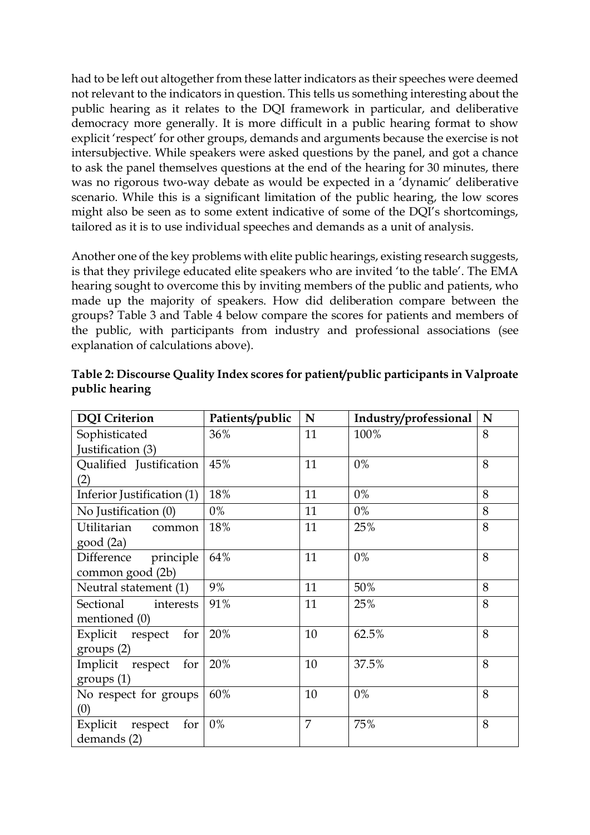had to be left out altogether from these latter indicators as their speeches were deemed not relevant to the indicators in question. This tells us something interesting about the public hearing as it relates to the DQI framework in particular, and deliberative democracy more generally. It is more difficult in a public hearing format to show explicit 'respect' for other groups, demands and arguments because the exercise is not intersubjective. While speakers were asked questions by the panel, and got a chance to ask the panel themselves questions at the end of the hearing for 30 minutes, there was no rigorous two-way debate as would be expected in a 'dynamic' deliberative scenario. While this is a significant limitation of the public hearing, the low scores might also be seen as to some extent indicative of some of the DQI's shortcomings, tailored as it is to use individual speeches and demands as a unit of analysis.

Another one of the key problems with elite public hearings, existing research suggests, is that they privilege educated elite speakers who are invited 'to the table'. The EMA hearing sought to overcome this by inviting members of the public and patients, who made up the majority of speakers. How did deliberation compare between the groups? Table 3 and Table 4 below compare the scores for patients and members of the public, with participants from industry and professional associations (see explanation of calculations above).

| <b>DQI</b> Criterion                        | Patients/public | N  | Industry/professional | N |
|---------------------------------------------|-----------------|----|-----------------------|---|
| Sophisticated                               | 36%             | 11 | 100%                  | 8 |
| Justification (3)                           |                 |    |                       |   |
| Qualified Justification<br>(2)              | 45%             | 11 | $0\%$                 | 8 |
| Inferior Justification (1)                  | 18%             | 11 | $0\%$                 | 8 |
| No Justification (0)                        | 0%              | 11 | $0\%$                 | 8 |
| Utilitarian<br>common<br>good(2a)           | 18%             | 11 | 25%                   | 8 |
| principle<br>Difference<br>common good (2b) | 64%             | 11 | $0\%$                 | 8 |
| Neutral statement (1)                       | 9%              | 11 | 50%                   | 8 |
| Sectional<br>interests<br>mentioned (0)     | 91%             | 11 | 25%                   | 8 |
| Explicit respect<br>for<br>groups (2)       | 20%             | 10 | 62.5%                 | 8 |
| Implicit respect<br>for<br>groups (1)       | 20%             | 10 | 37.5%                 | 8 |
| No respect for groups<br>(0)                | 60%             | 10 | $0\%$                 | 8 |
| Explicit<br>for<br>respect<br>demands (2)   | 0%              | 7  | 75%                   | 8 |

**Table 2: Discourse Quality Index scores for patient/public participants in Valproate public hearing**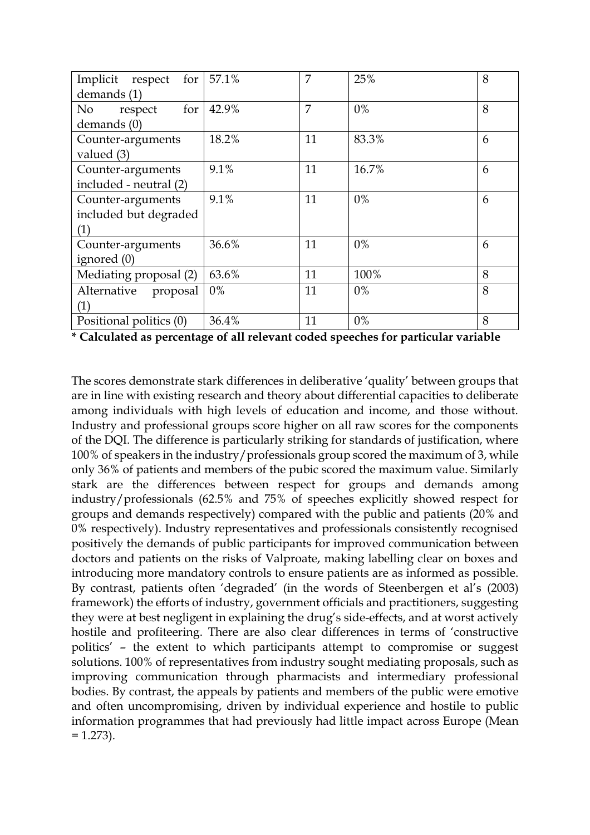| Implicit<br>for<br>respect | 57.1% | 7  | 25%   | 8 |
|----------------------------|-------|----|-------|---|
| demands (1)                |       |    |       |   |
| for<br>No<br>respect       | 42.9% | 7  | $0\%$ | 8 |
| demands (0)                |       |    |       |   |
| Counter-arguments          | 18.2% | 11 | 83.3% | 6 |
| valued (3)                 |       |    |       |   |
| Counter-arguments          | 9.1%  | 11 | 16.7% | 6 |
| included - neutral (2)     |       |    |       |   |
| Counter-arguments          | 9.1%  | 11 | $0\%$ | 6 |
| included but degraded      |       |    |       |   |
| (1)                        |       |    |       |   |
| Counter-arguments          | 36.6% | 11 | $0\%$ | 6 |
| ignored (0)                |       |    |       |   |
| Mediating proposal (2)     | 63.6% | 11 | 100%  | 8 |
| Alternative<br>proposal    | $0\%$ | 11 | $0\%$ | 8 |
| (1)                        |       |    |       |   |
| Positional politics (0)    | 36.4% | 11 | $0\%$ | 8 |

**\* Calculated as percentage of all relevant coded speeches for particular variable**

The scores demonstrate stark differences in deliberative 'quality' between groups that are in line with existing research and theory about differential capacities to deliberate among individuals with high levels of education and income, and those without. Industry and professional groups score higher on all raw scores for the components of the DQI. The difference is particularly striking for standards of justification, where 100% of speakers in the industry/professionals group scored the maximum of 3, while only 36% of patients and members of the pubic scored the maximum value. Similarly stark are the differences between respect for groups and demands among industry/professionals (62.5% and 75% of speeches explicitly showed respect for groups and demands respectively) compared with the public and patients (20% and 0% respectively). Industry representatives and professionals consistently recognised positively the demands of public participants for improved communication between doctors and patients on the risks of Valproate, making labelling clear on boxes and introducing more mandatory controls to ensure patients are as informed as possible. By contrast, patients often 'degraded' (in the words of Steenbergen et al's (2003) framework) the efforts of industry, government officials and practitioners, suggesting they were at best negligent in explaining the drug's side-effects, and at worst actively hostile and profiteering. There are also clear differences in terms of 'constructive politics' – the extent to which participants attempt to compromise or suggest solutions. 100% of representatives from industry sought mediating proposals, such as improving communication through pharmacists and intermediary professional bodies. By contrast, the appeals by patients and members of the public were emotive and often uncompromising, driven by individual experience and hostile to public information programmes that had previously had little impact across Europe (Mean  $= 1.273$ .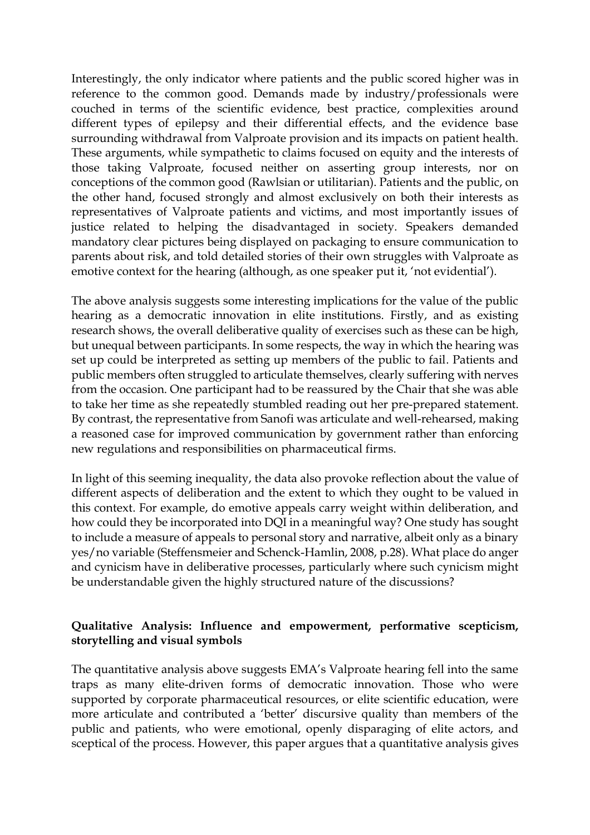Interestingly, the only indicator where patients and the public scored higher was in reference to the common good. Demands made by industry/professionals were couched in terms of the scientific evidence, best practice, complexities around different types of epilepsy and their differential effects, and the evidence base surrounding withdrawal from Valproate provision and its impacts on patient health. These arguments, while sympathetic to claims focused on equity and the interests of those taking Valproate, focused neither on asserting group interests, nor on conceptions of the common good (Rawlsian or utilitarian). Patients and the public, on the other hand, focused strongly and almost exclusively on both their interests as representatives of Valproate patients and victims, and most importantly issues of justice related to helping the disadvantaged in society. Speakers demanded mandatory clear pictures being displayed on packaging to ensure communication to parents about risk, and told detailed stories of their own struggles with Valproate as emotive context for the hearing (although, as one speaker put it, 'not evidential').

The above analysis suggests some interesting implications for the value of the public hearing as a democratic innovation in elite institutions. Firstly, and as existing research shows, the overall deliberative quality of exercises such as these can be high, but unequal between participants. In some respects, the way in which the hearing was set up could be interpreted as setting up members of the public to fail. Patients and public members often struggled to articulate themselves, clearly suffering with nerves from the occasion. One participant had to be reassured by the Chair that she was able to take her time as she repeatedly stumbled reading out her pre-prepared statement. By contrast, the representative from Sanofi was articulate and well-rehearsed, making a reasoned case for improved communication by government rather than enforcing new regulations and responsibilities on pharmaceutical firms.

In light of this seeming inequality, the data also provoke reflection about the value of different aspects of deliberation and the extent to which they ought to be valued in this context. For example, do emotive appeals carry weight within deliberation, and how could they be incorporated into DQI in a meaningful way? One study has sought to include a measure of appeals to personal story and narrative, albeit only as a binary yes/no variable (Steffensmeier and Schenck-Hamlin, 2008, p.28). What place do anger and cynicism have in deliberative processes, particularly where such cynicism might be understandable given the highly structured nature of the discussions?

# **Qualitative Analysis: Influence and empowerment, performative scepticism, storytelling and visual symbols**

The quantitative analysis above suggests EMA's Valproate hearing fell into the same traps as many elite-driven forms of democratic innovation. Those who were supported by corporate pharmaceutical resources, or elite scientific education, were more articulate and contributed a 'better' discursive quality than members of the public and patients, who were emotional, openly disparaging of elite actors, and sceptical of the process. However, this paper argues that a quantitative analysis gives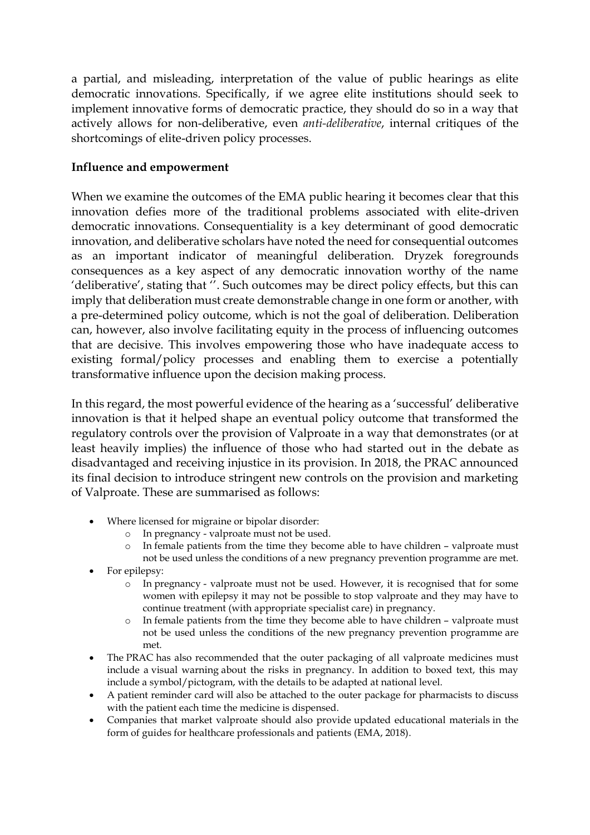a partial, and misleading, interpretation of the value of public hearings as elite democratic innovations. Specifically, if we agree elite institutions should seek to implement innovative forms of democratic practice, they should do so in a way that actively allows for non-deliberative, even *anti-deliberative*, internal critiques of the shortcomings of elite-driven policy processes.

#### **Influence and empowerment**

When we examine the outcomes of the EMA public hearing it becomes clear that this innovation defies more of the traditional problems associated with elite-driven democratic innovations. Consequentiality is a key determinant of good democratic innovation, and deliberative scholars have noted the need for consequential outcomes as an important indicator of meaningful deliberation. Dryzek foregrounds consequences as a key aspect of any democratic innovation worthy of the name 'deliberative', stating that ''. Such outcomes may be direct policy effects, but this can imply that deliberation must create demonstrable change in one form or another, with a pre-determined policy outcome, which is not the goal of deliberation. Deliberation can, however, also involve facilitating equity in the process of influencing outcomes that are decisive. This involves empowering those who have inadequate access to existing formal/policy processes and enabling them to exercise a potentially transformative influence upon the decision making process.

In this regard, the most powerful evidence of the hearing as a 'successful' deliberative innovation is that it helped shape an eventual policy outcome that transformed the regulatory controls over the provision of Valproate in a way that demonstrates (or at least heavily implies) the influence of those who had started out in the debate as disadvantaged and receiving injustice in its provision. In 2018, the PRAC announced its final decision to introduce stringent new controls on the provision and marketing of Valproate. These are summarised as follows:

- Where licensed for migraine or bipolar disorder:
	- o In pregnancy valproate must not be used.
	- o In female patients from the time they become able to have children valproate must not be used unless the conditions of a new pregnancy prevention programme are met.
- For epilepsy:
	- o In pregnancy valproate must not be used. However, it is recognised that for some women with epilepsy it may not be possible to stop valproate and they may have to continue treatment (with appropriate specialist care) in pregnancy.
	- o In female patients from the time they become able to have children valproate must not be used unless the conditions of the new pregnancy prevention programme are met.
- The [PRAC](https://www.ema.europa.eu/en/glossary/prac) has also recommended that the outer packaging of all valproate medicines must include a visual warning about the risks in pregnancy. In addition to boxed text, this may include a symbol/pictogram, with the details to be adapted at national level.
- A patient reminder card will also be attached to the outer package for pharmacists to discuss with the patient each time the medicine is dispensed.
- Companies that market valproate should also provide updated educational materials in the form of guides for healthcare professionals and patients (EMA, 2018).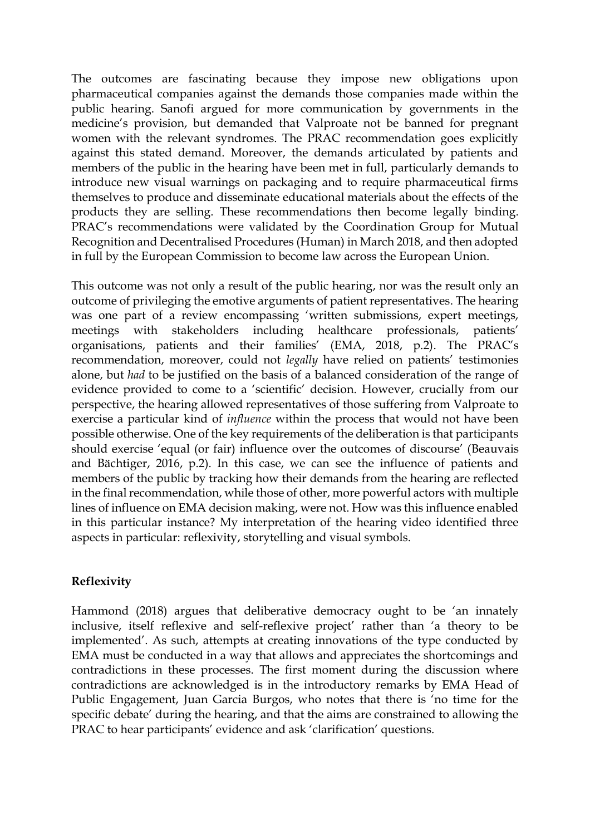The outcomes are fascinating because they impose new obligations upon pharmaceutical companies against the demands those companies made within the public hearing. Sanofi argued for more communication by governments in the medicine's provision, but demanded that Valproate not be banned for pregnant women with the relevant syndromes. The PRAC recommendation goes explicitly against this stated demand. Moreover, the demands articulated by patients and members of the public in the hearing have been met in full, particularly demands to introduce new visual warnings on packaging and to require pharmaceutical firms themselves to produce and disseminate educational materials about the effects of the products they are selling. These recommendations then become legally binding. PRAC's recommendations were validated by the Coordination Group for Mutual Recognition and Decentralised Procedures (Human) in March 2018, and then adopted in full by the European Commission to become law across the European Union.

This outcome was not only a result of the public hearing, nor was the result only an outcome of privileging the emotive arguments of patient representatives. The hearing was one part of a review encompassing 'written submissions, expert meetings, meetings with stakeholders including healthcare professionals, patients' organisations, patients and their families' (EMA, 2018, p.2). The PRAC's recommendation, moreover, could not *legally* have relied on patients' testimonies alone, but *had* to be justified on the basis of a balanced consideration of the range of evidence provided to come to a 'scientific' decision. However, crucially from our perspective, the hearing allowed representatives of those suffering from Valproate to exercise a particular kind of *influence* within the process that would not have been possible otherwise. One of the key requirements of the deliberation is that participants should exercise 'equal (or fair) influence over the outcomes of discourse' (Beauvais and Bächtiger, 2016, p.2). In this case, we can see the influence of patients and members of the public by tracking how their demands from the hearing are reflected in the final recommendation, while those of other, more powerful actors with multiple lines of influence on EMA decision making, were not. How was this influence enabled in this particular instance? My interpretation of the hearing video identified three aspects in particular: reflexivity, storytelling and visual symbols.

# **Reflexivity**

Hammond (2018) argues that deliberative democracy ought to be 'an innately inclusive, itself reflexive and self-reflexive project' rather than 'a theory to be implemented'. As such, attempts at creating innovations of the type conducted by EMA must be conducted in a way that allows and appreciates the shortcomings and contradictions in these processes. The first moment during the discussion where contradictions are acknowledged is in the introductory remarks by EMA Head of Public Engagement, Juan Garcia Burgos, who notes that there is 'no time for the specific debate' during the hearing, and that the aims are constrained to allowing the PRAC to hear participants' evidence and ask 'clarification' questions.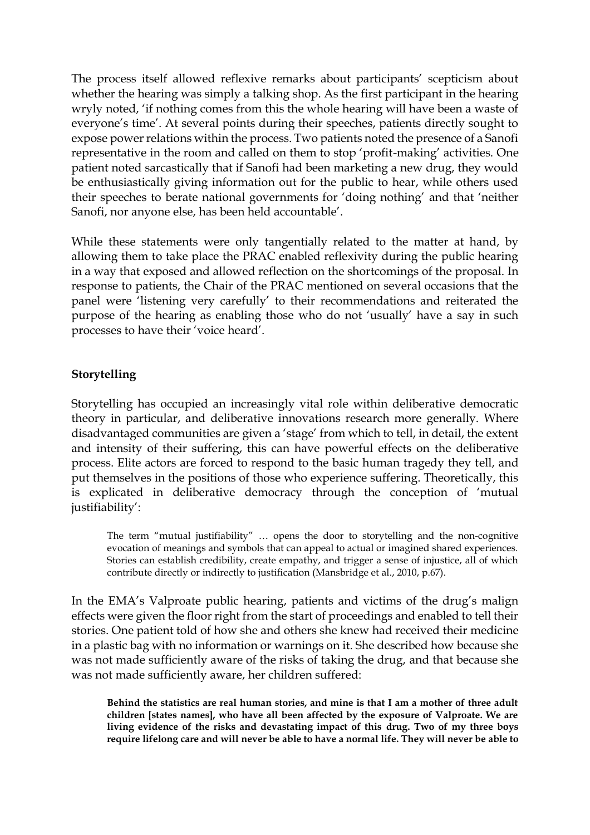The process itself allowed reflexive remarks about participants' scepticism about whether the hearing was simply a talking shop. As the first participant in the hearing wryly noted, 'if nothing comes from this the whole hearing will have been a waste of everyone's time'. At several points during their speeches, patients directly sought to expose power relations within the process. Two patients noted the presence of a Sanofi representative in the room and called on them to stop 'profit-making' activities. One patient noted sarcastically that if Sanofi had been marketing a new drug, they would be enthusiastically giving information out for the public to hear, while others used their speeches to berate national governments for 'doing nothing' and that 'neither Sanofi, nor anyone else, has been held accountable'.

While these statements were only tangentially related to the matter at hand, by allowing them to take place the PRAC enabled reflexivity during the public hearing in a way that exposed and allowed reflection on the shortcomings of the proposal. In response to patients, the Chair of the PRAC mentioned on several occasions that the panel were 'listening very carefully' to their recommendations and reiterated the purpose of the hearing as enabling those who do not 'usually' have a say in such processes to have their 'voice heard'.

#### **Storytelling**

Storytelling has occupied an increasingly vital role within deliberative democratic theory in particular, and deliberative innovations research more generally. Where disadvantaged communities are given a 'stage' from which to tell, in detail, the extent and intensity of their suffering, this can have powerful effects on the deliberative process. Elite actors are forced to respond to the basic human tragedy they tell, and put themselves in the positions of those who experience suffering. Theoretically, this is explicated in deliberative democracy through the conception of 'mutual justifiability':

The term "mutual justifiability" … opens the door to storytelling and the non-cognitive evocation of meanings and symbols that can appeal to actual or imagined shared experiences. Stories can establish credibility, create empathy, and trigger a sense of injustice, all of which contribute directly or indirectly to justification (Mansbridge et al., 2010, p.67).

In the EMA's Valproate public hearing, patients and victims of the drug's malign effects were given the floor right from the start of proceedings and enabled to tell their stories. One patient told of how she and others she knew had received their medicine in a plastic bag with no information or warnings on it. She described how because she was not made sufficiently aware of the risks of taking the drug, and that because she was not made sufficiently aware, her children suffered:

**Behind the statistics are real human stories, and mine is that I am a mother of three adult children [states names], who have all been affected by the exposure of Valproate. We are living evidence of the risks and devastating impact of this drug. Two of my three boys require lifelong care and will never be able to have a normal life. They will never be able to**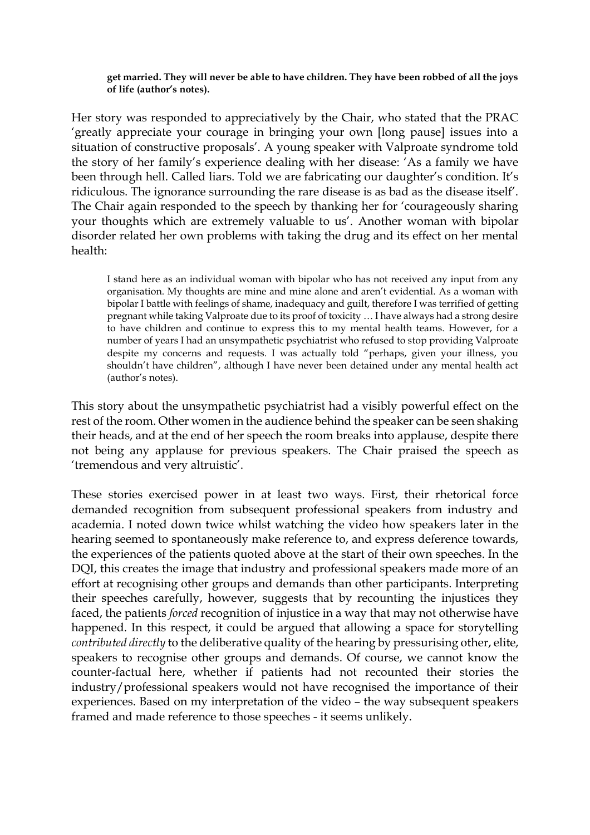**get married. They will never be able to have children. They have been robbed of all the joys of life (author's notes).**

Her story was responded to appreciatively by the Chair, who stated that the PRAC 'greatly appreciate your courage in bringing your own [long pause] issues into a situation of constructive proposals'. A young speaker with Valproate syndrome told the story of her family's experience dealing with her disease: 'As a family we have been through hell. Called liars. Told we are fabricating our daughter's condition. It's ridiculous. The ignorance surrounding the rare disease is as bad as the disease itself'. The Chair again responded to the speech by thanking her for 'courageously sharing your thoughts which are extremely valuable to us'. Another woman with bipolar disorder related her own problems with taking the drug and its effect on her mental health:

I stand here as an individual woman with bipolar who has not received any input from any organisation. My thoughts are mine and mine alone and aren't evidential. As a woman with bipolar I battle with feelings of shame, inadequacy and guilt, therefore I was terrified of getting pregnant while taking Valproate due to its proof of toxicity … I have always had a strong desire to have children and continue to express this to my mental health teams. However, for a number of years I had an unsympathetic psychiatrist who refused to stop providing Valproate despite my concerns and requests. I was actually told "perhaps, given your illness, you shouldn't have children", although I have never been detained under any mental health act (author's notes).

This story about the unsympathetic psychiatrist had a visibly powerful effect on the rest of the room. Other women in the audience behind the speaker can be seen shaking their heads, and at the end of her speech the room breaks into applause, despite there not being any applause for previous speakers. The Chair praised the speech as 'tremendous and very altruistic'.

These stories exercised power in at least two ways. First, their rhetorical force demanded recognition from subsequent professional speakers from industry and academia. I noted down twice whilst watching the video how speakers later in the hearing seemed to spontaneously make reference to, and express deference towards, the experiences of the patients quoted above at the start of their own speeches. In the DQI, this creates the image that industry and professional speakers made more of an effort at recognising other groups and demands than other participants. Interpreting their speeches carefully, however, suggests that by recounting the injustices they faced, the patients *forced* recognition of injustice in a way that may not otherwise have happened. In this respect, it could be argued that allowing a space for storytelling *contributed directly* to the deliberative quality of the hearing by pressurising other, elite, speakers to recognise other groups and demands. Of course, we cannot know the counter-factual here, whether if patients had not recounted their stories the industry/professional speakers would not have recognised the importance of their experiences. Based on my interpretation of the video – the way subsequent speakers framed and made reference to those speeches - it seems unlikely.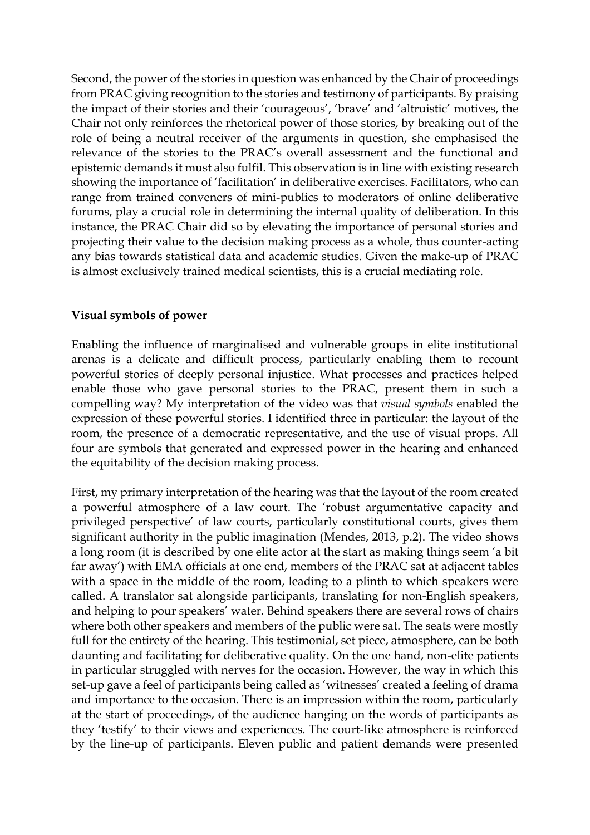Second, the power of the stories in question was enhanced by the Chair of proceedings from PRAC giving recognition to the stories and testimony of participants. By praising the impact of their stories and their 'courageous', 'brave' and 'altruistic' motives, the Chair not only reinforces the rhetorical power of those stories, by breaking out of the role of being a neutral receiver of the arguments in question, she emphasised the relevance of the stories to the PRAC's overall assessment and the functional and epistemic demands it must also fulfil. This observation is in line with existing research showing the importance of 'facilitation' in deliberative exercises. Facilitators, who can range from trained conveners of mini-publics to moderators of online deliberative forums, play a crucial role in determining the internal quality of deliberation. In this instance, the PRAC Chair did so by elevating the importance of personal stories and projecting their value to the decision making process as a whole, thus counter-acting any bias towards statistical data and academic studies. Given the make-up of PRAC is almost exclusively trained medical scientists, this is a crucial mediating role.

#### **Visual symbols of power**

Enabling the influence of marginalised and vulnerable groups in elite institutional arenas is a delicate and difficult process, particularly enabling them to recount powerful stories of deeply personal injustice. What processes and practices helped enable those who gave personal stories to the PRAC, present them in such a compelling way? My interpretation of the video was that *visual symbols* enabled the expression of these powerful stories. I identified three in particular: the layout of the room, the presence of a democratic representative, and the use of visual props. All four are symbols that generated and expressed power in the hearing and enhanced the equitability of the decision making process.

First, my primary interpretation of the hearing was that the layout of the room created a powerful atmosphere of a law court. The 'robust argumentative capacity and privileged perspective' of law courts, particularly constitutional courts, gives them significant authority in the public imagination (Mendes, 2013, p.2). The video shows a long room (it is described by one elite actor at the start as making things seem 'a bit far away') with EMA officials at one end, members of the PRAC sat at adjacent tables with a space in the middle of the room, leading to a plinth to which speakers were called. A translator sat alongside participants, translating for non-English speakers, and helping to pour speakers' water. Behind speakers there are several rows of chairs where both other speakers and members of the public were sat. The seats were mostly full for the entirety of the hearing. This testimonial, set piece, atmosphere, can be both daunting and facilitating for deliberative quality. On the one hand, non-elite patients in particular struggled with nerves for the occasion. However, the way in which this set-up gave a feel of participants being called as 'witnesses' created a feeling of drama and importance to the occasion. There is an impression within the room, particularly at the start of proceedings, of the audience hanging on the words of participants as they 'testify' to their views and experiences. The court-like atmosphere is reinforced by the line-up of participants. Eleven public and patient demands were presented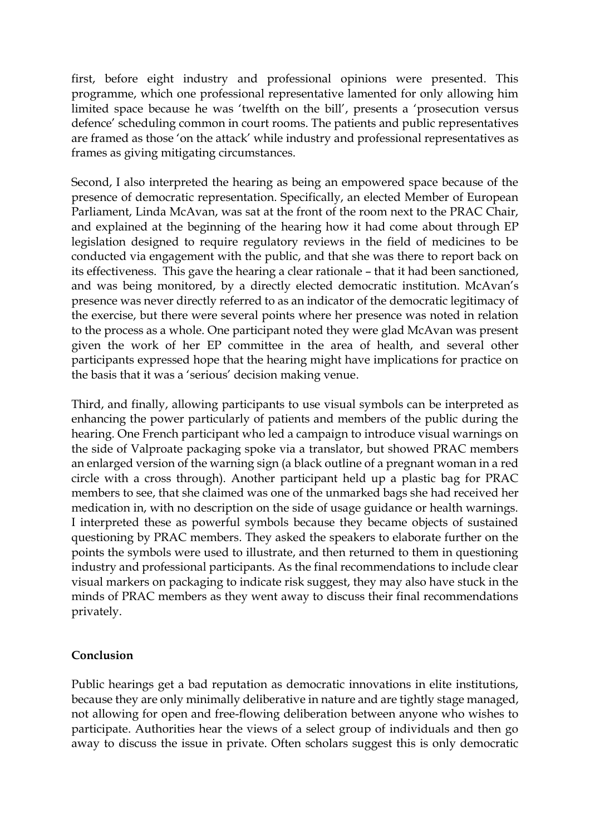first, before eight industry and professional opinions were presented. This programme, which one professional representative lamented for only allowing him limited space because he was 'twelfth on the bill', presents a 'prosecution versus defence' scheduling common in court rooms. The patients and public representatives are framed as those 'on the attack' while industry and professional representatives as frames as giving mitigating circumstances.

Second, I also interpreted the hearing as being an empowered space because of the presence of democratic representation. Specifically, an elected Member of European Parliament, Linda McAvan, was sat at the front of the room next to the PRAC Chair, and explained at the beginning of the hearing how it had come about through EP legislation designed to require regulatory reviews in the field of medicines to be conducted via engagement with the public, and that she was there to report back on its effectiveness. This gave the hearing a clear rationale – that it had been sanctioned, and was being monitored, by a directly elected democratic institution. McAvan's presence was never directly referred to as an indicator of the democratic legitimacy of the exercise, but there were several points where her presence was noted in relation to the process as a whole. One participant noted they were glad McAvan was present given the work of her EP committee in the area of health, and several other participants expressed hope that the hearing might have implications for practice on the basis that it was a 'serious' decision making venue.

Third, and finally, allowing participants to use visual symbols can be interpreted as enhancing the power particularly of patients and members of the public during the hearing. One French participant who led a campaign to introduce visual warnings on the side of Valproate packaging spoke via a translator, but showed PRAC members an enlarged version of the warning sign (a black outline of a pregnant woman in a red circle with a cross through). Another participant held up a plastic bag for PRAC members to see, that she claimed was one of the unmarked bags she had received her medication in, with no description on the side of usage guidance or health warnings. I interpreted these as powerful symbols because they became objects of sustained questioning by PRAC members. They asked the speakers to elaborate further on the points the symbols were used to illustrate, and then returned to them in questioning industry and professional participants. As the final recommendations to include clear visual markers on packaging to indicate risk suggest, they may also have stuck in the minds of PRAC members as they went away to discuss their final recommendations privately.

# **Conclusion**

Public hearings get a bad reputation as democratic innovations in elite institutions, because they are only minimally deliberative in nature and are tightly stage managed, not allowing for open and free-flowing deliberation between anyone who wishes to participate. Authorities hear the views of a select group of individuals and then go away to discuss the issue in private. Often scholars suggest this is only democratic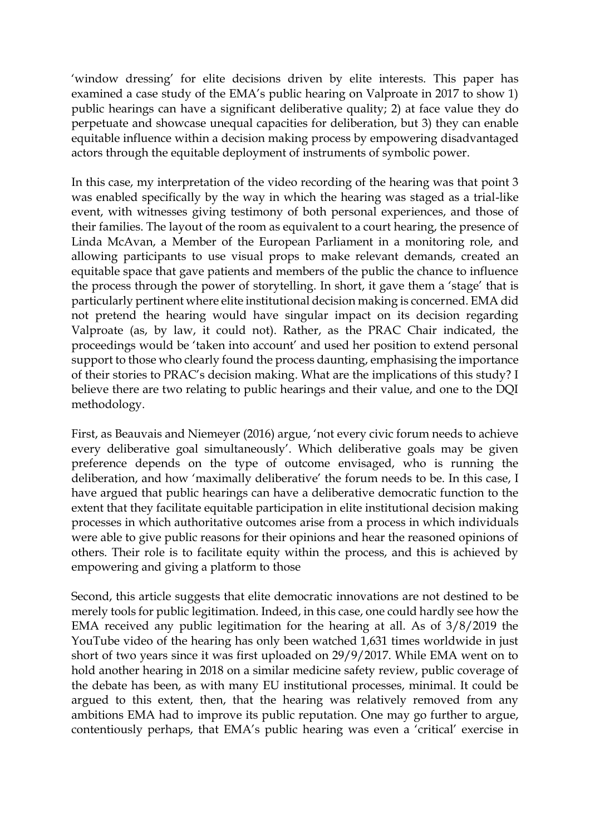'window dressing' for elite decisions driven by elite interests. This paper has examined a case study of the EMA's public hearing on Valproate in 2017 to show 1) public hearings can have a significant deliberative quality; 2) at face value they do perpetuate and showcase unequal capacities for deliberation, but 3) they can enable equitable influence within a decision making process by empowering disadvantaged actors through the equitable deployment of instruments of symbolic power.

In this case, my interpretation of the video recording of the hearing was that point 3 was enabled specifically by the way in which the hearing was staged as a trial-like event, with witnesses giving testimony of both personal experiences, and those of their families. The layout of the room as equivalent to a court hearing, the presence of Linda McAvan, a Member of the European Parliament in a monitoring role, and allowing participants to use visual props to make relevant demands, created an equitable space that gave patients and members of the public the chance to influence the process through the power of storytelling. In short, it gave them a 'stage' that is particularly pertinent where elite institutional decision making is concerned. EMA did not pretend the hearing would have singular impact on its decision regarding Valproate (as, by law, it could not). Rather, as the PRAC Chair indicated, the proceedings would be 'taken into account' and used her position to extend personal support to those who clearly found the process daunting, emphasising the importance of their stories to PRAC's decision making. What are the implications of this study? I believe there are two relating to public hearings and their value, and one to the DQI methodology.

First, as Beauvais and Niemeyer (2016) argue, 'not every civic forum needs to achieve every deliberative goal simultaneously'. Which deliberative goals may be given preference depends on the type of outcome envisaged, who is running the deliberation, and how 'maximally deliberative' the forum needs to be. In this case, I have argued that public hearings can have a deliberative democratic function to the extent that they facilitate equitable participation in elite institutional decision making processes in which authoritative outcomes arise from a process in which individuals were able to give public reasons for their opinions and hear the reasoned opinions of others. Their role is to facilitate equity within the process, and this is achieved by empowering and giving a platform to those

Second, this article suggests that elite democratic innovations are not destined to be merely tools for public legitimation. Indeed, in this case, one could hardly see how the EMA received any public legitimation for the hearing at all. As of 3/8/2019 the YouTube video of the hearing has only been watched 1,631 times worldwide in just short of two years since it was first uploaded on 29/9/2017. While EMA went on to hold another hearing in 2018 on a similar medicine safety review, public coverage of the debate has been, as with many EU institutional processes, minimal. It could be argued to this extent, then, that the hearing was relatively removed from any ambitions EMA had to improve its public reputation. One may go further to argue, contentiously perhaps, that EMA's public hearing was even a 'critical' exercise in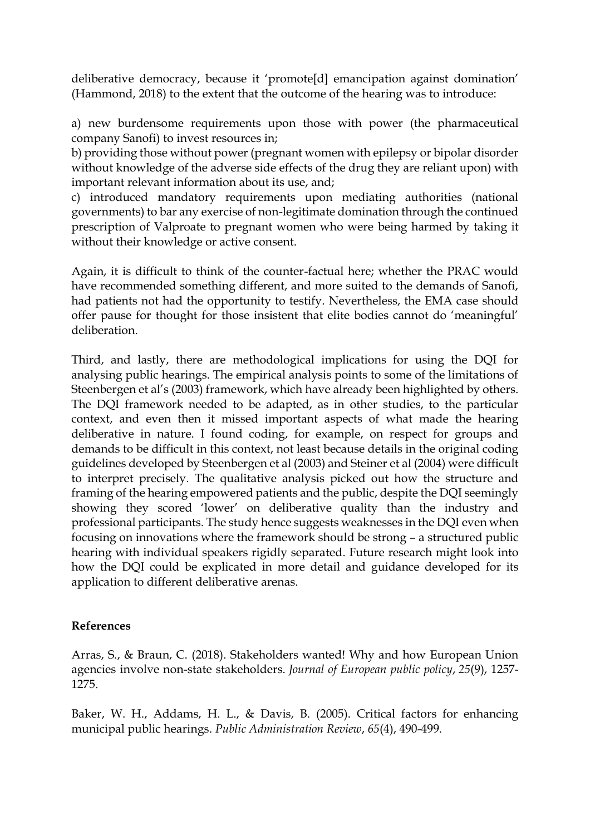deliberative democracy, because it 'promote[d] emancipation against domination' (Hammond, 2018) to the extent that the outcome of the hearing was to introduce:

a) new burdensome requirements upon those with power (the pharmaceutical company Sanofi) to invest resources in;

b) providing those without power (pregnant women with epilepsy or bipolar disorder without knowledge of the adverse side effects of the drug they are reliant upon) with important relevant information about its use, and;

c) introduced mandatory requirements upon mediating authorities (national governments) to bar any exercise of non-legitimate domination through the continued prescription of Valproate to pregnant women who were being harmed by taking it without their knowledge or active consent.

Again, it is difficult to think of the counter-factual here; whether the PRAC would have recommended something different, and more suited to the demands of Sanofi, had patients not had the opportunity to testify. Nevertheless, the EMA case should offer pause for thought for those insistent that elite bodies cannot do 'meaningful' deliberation.

Third, and lastly, there are methodological implications for using the DQI for analysing public hearings. The empirical analysis points to some of the limitations of Steenbergen et al's (2003) framework, which have already been highlighted by others. The DQI framework needed to be adapted, as in other studies, to the particular context, and even then it missed important aspects of what made the hearing deliberative in nature. I found coding, for example, on respect for groups and demands to be difficult in this context, not least because details in the original coding guidelines developed by Steenbergen et al (2003) and Steiner et al (2004) were difficult to interpret precisely. The qualitative analysis picked out how the structure and framing of the hearing empowered patients and the public, despite the DQI seemingly showing they scored 'lower' on deliberative quality than the industry and professional participants. The study hence suggests weaknesses in the DQI even when focusing on innovations where the framework should be strong – a structured public hearing with individual speakers rigidly separated. Future research might look into how the DQI could be explicated in more detail and guidance developed for its application to different deliberative arenas.

#### **References**

Arras, S., & Braun, C. (2018). Stakeholders wanted! Why and how European Union agencies involve non-state stakeholders. *Journal of European public policy*, *25*(9), 1257- 1275.

Baker, W. H., Addams, H. L., & Davis, B. (2005). Critical factors for enhancing municipal public hearings. *Public Administration Review*, *65*(4), 490-499.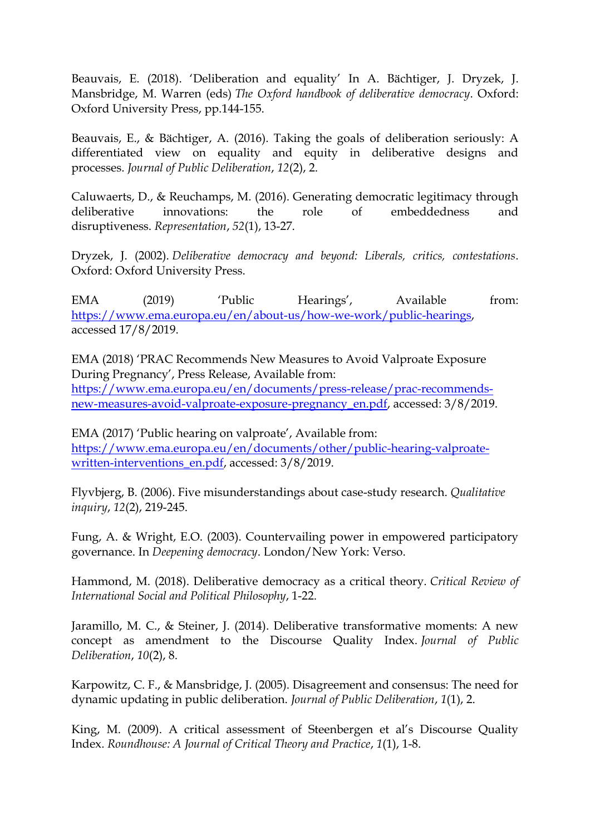Beauvais, E. (2018). 'Deliberation and equality' In A. Bächtiger, J. Dryzek, J. Mansbridge, M. Warren (eds) *The Oxford handbook of deliberative democracy*. Oxford: Oxford University Press, pp.144-155.

Beauvais, E., & Bächtiger, A. (2016). Taking the goals of deliberation seriously: A differentiated view on equality and equity in deliberative designs and processes. *Journal of Public Deliberation*, *12*(2), 2.

Caluwaerts, D., & Reuchamps, M. (2016). Generating democratic legitimacy through deliberative innovations: the role of embeddedness and disruptiveness. *Representation*, *52*(1), 13-27.

Dryzek, J. (2002). *Deliberative democracy and beyond: Liberals, critics, contestations*. Oxford: Oxford University Press.

EMA (2019) 'Public Hearings', Available from: [https://www.ema.europa.eu/en/about-us/how-we-work/public-hearings,](https://www.ema.europa.eu/en/about-us/how-we-work/public-hearings) accessed 17/8/2019.

EMA (2018) 'PRAC Recommends New Measures to Avoid Valproate Exposure During Pregnancy', Press Release, Available from: [https://www.ema.europa.eu/en/documents/press-release/prac-recommends](https://www.ema.europa.eu/en/documents/press-release/prac-recommends-new-measures-avoid-valproate-exposure-pregnancy_en.pdf)[new-measures-avoid-valproate-exposure-pregnancy\\_en.pdf,](https://www.ema.europa.eu/en/documents/press-release/prac-recommends-new-measures-avoid-valproate-exposure-pregnancy_en.pdf) accessed: 3/8/2019.

EMA (2017) 'Public hearing on valproate', Available from: [https://www.ema.europa.eu/en/documents/other/public-hearing-valproate](https://www.ema.europa.eu/en/documents/other/public-hearing-valproate-written-interventions_en.pdf)[written-interventions\\_en.pdf,](https://www.ema.europa.eu/en/documents/other/public-hearing-valproate-written-interventions_en.pdf) accessed: 3/8/2019.

Flyvbjerg, B. (2006). Five misunderstandings about case-study research. *Qualitative inquiry*, *12*(2), 219-245.

Fung, A. & Wright, E.O. (2003). Countervailing power in empowered participatory governance. In *Deepening democracy*. London/New York: Verso.

Hammond, M. (2018). Deliberative democracy as a critical theory. *Critical Review of International Social and Political Philosophy*, 1-22.

Jaramillo, M. C., & Steiner, J. (2014). Deliberative transformative moments: A new concept as amendment to the Discourse Quality Index. *Journal of Public Deliberation*, *10*(2), 8.

Karpowitz, C. F., & Mansbridge, J. (2005). Disagreement and consensus: The need for dynamic updating in public deliberation. *Journal of Public Deliberation*, *1*(1), 2.

King, M. (2009). A critical assessment of Steenbergen et al's Discourse Quality Index. *Roundhouse: A Journal of Critical Theory and Practice*, *1*(1), 1-8.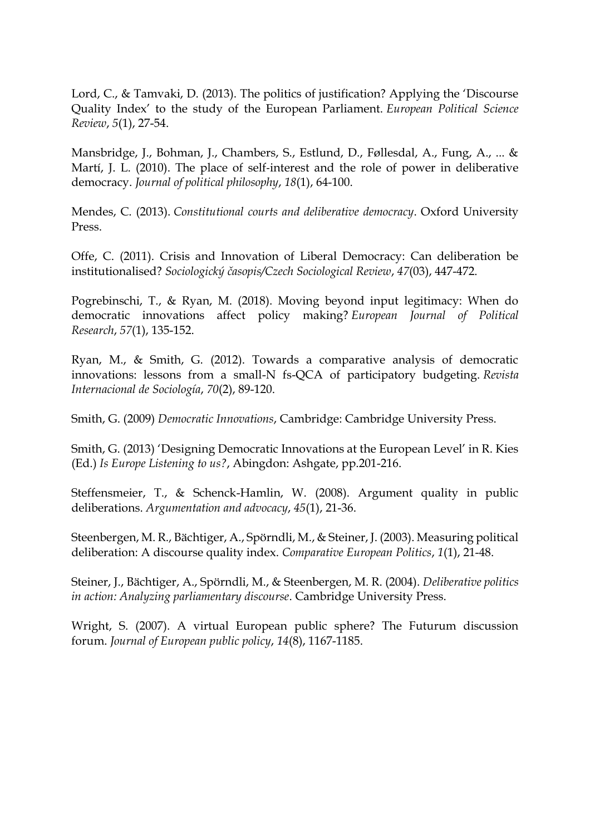Lord, C., & Tamvaki, D. (2013). The politics of justification? Applying the 'Discourse Quality Index' to the study of the European Parliament. *European Political Science Review*, *5*(1), 27-54.

Mansbridge, J., Bohman, J., Chambers, S., Estlund, D., Føllesdal, A., Fung, A., ... & Martí, J. L. (2010). The place of self-interest and the role of power in deliberative democracy. *Journal of political philosophy*, *18*(1), 64-100.

Mendes, C. (2013). *Constitutional courts and deliberative democracy*. Oxford University Press.

Offe, C. (2011). Crisis and Innovation of Liberal Democracy: Can deliberation be institutionalised? *Sociologický časopis/Czech Sociological Review*, *47*(03), 447-472.

Pogrebinschi, T., & Ryan, M. (2018). Moving beyond input legitimacy: When do democratic innovations affect policy making? *European Journal of Political Research*, *57*(1), 135-152.

Ryan, M., & Smith, G. (2012). Towards a comparative analysis of democratic innovations: lessons from a small-N fs-QCA of participatory budgeting. *Revista Internacional de Sociología*, *70*(2), 89-120.

Smith, G. (2009) *Democratic Innovations*, Cambridge: Cambridge University Press.

Smith, G. (2013) 'Designing Democratic Innovations at the European Level' in R. Kies (Ed.) *Is Europe Listening to us?*, Abingdon: Ashgate, pp.201-216.

Steffensmeier, T., & Schenck-Hamlin, W. (2008). Argument quality in public deliberations. *Argumentation and advocacy*, *45*(1), 21-36.

Steenbergen, M. R., Bächtiger, A., Spörndli, M., & Steiner, J. (2003). Measuring political deliberation: A discourse quality index. *Comparative European Politics*, *1*(1), 21-48.

Steiner, J., Bächtiger, A., Spörndli, M., & Steenbergen, M. R. (2004). *Deliberative politics in action: Analyzing parliamentary discourse*. Cambridge University Press.

Wright, S. (2007). A virtual European public sphere? The Futurum discussion forum. *Journal of European public policy*, *14*(8), 1167-1185.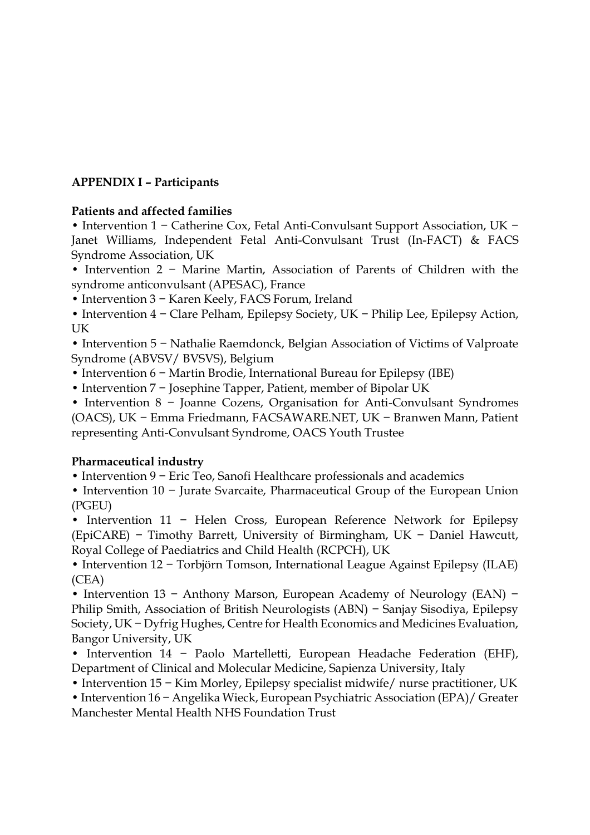# **APPENDIX I – Participants**

#### **Patients and affected families**

• Intervention 1 − Catherine Cox, Fetal Anti-Convulsant Support Association, UK − Janet Williams, Independent Fetal Anti-Convulsant Trust (In-FACT) & FACS Syndrome Association, UK

• Intervention 2 − Marine Martin, Association of Parents of Children with the syndrome anticonvulsant (APESAC), France

• Intervention 3 − Karen Keely, FACS Forum, Ireland

• Intervention 4 − Clare Pelham, Epilepsy Society, UK − Philip Lee, Epilepsy Action, UK

• Intervention 5 − Nathalie Raemdonck, Belgian Association of Victims of Valproate Syndrome (ABVSV/ BVSVS), Belgium

• Intervention 6 − Martin Brodie, International Bureau for Epilepsy (IBE)

• Intervention 7 − Josephine Tapper, Patient, member of Bipolar UK

• Intervention 8 − Joanne Cozens, Organisation for Anti-Convulsant Syndromes (OACS), UK − Emma Friedmann, FACSAWARE.NET, UK − Branwen Mann, Patient

representing Anti-Convulsant Syndrome, OACS Youth Trustee

# **Pharmaceutical industry**

• Intervention 9 − Eric Teo, Sanofi Healthcare professionals and academics

• Intervention 10 − Jurate Svarcaite, Pharmaceutical Group of the European Union (PGEU)

• Intervention 11 − Helen Cross, European Reference Network for Epilepsy (EpiCARE) − Timothy Barrett, University of Birmingham, UK − Daniel Hawcutt, Royal College of Paediatrics and Child Health (RCPCH), UK

• Intervention 12 − Torbjörn Tomson, International League Against Epilepsy (ILAE) (CEA)

• Intervention 13 − Anthony Marson, European Academy of Neurology (EAN) − Philip Smith, Association of British Neurologists (ABN) – Sanjay Sisodiya, Epilepsy Society, UK − Dyfrig Hughes, Centre for Health Economics and Medicines Evaluation, Bangor University, UK

• Intervention 14 − Paolo Martelletti, European Headache Federation (EHF), Department of Clinical and Molecular Medicine, Sapienza University, Italy

• Intervention 15 − Kim Morley, Epilepsy specialist midwife/ nurse practitioner, UK

• Intervention 16 − Angelika Wieck, European Psychiatric Association (EPA)/ Greater Manchester Mental Health NHS Foundation Trust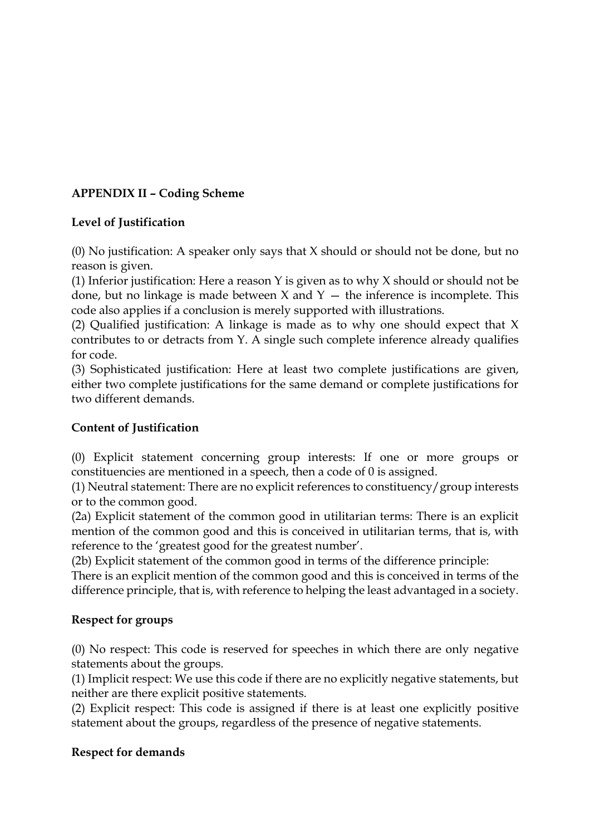# **APPENDIX II – Coding Scheme**

# **Level of Justification**

(0) No justification: A speaker only says that X should or should not be done, but no reason is given.

(1) Inferior justification: Here a reason Y is given as to why X should or should not be done, but no linkage is made between  $X$  and  $Y -$  the inference is incomplete. This code also applies if a conclusion is merely supported with illustrations.

(2) Qualified justification: A linkage is made as to why one should expect that X contributes to or detracts from Y. A single such complete inference already qualifies for code.

(3) Sophisticated justification: Here at least two complete justifications are given, either two complete justifications for the same demand or complete justifications for two different demands.

# **Content of Justification**

(0) Explicit statement concerning group interests: If one or more groups or constituencies are mentioned in a speech, then a code of 0 is assigned.

(1) Neutral statement: There are no explicit references to constituency/group interests or to the common good.

(2a) Explicit statement of the common good in utilitarian terms: There is an explicit mention of the common good and this is conceived in utilitarian terms, that is, with reference to the 'greatest good for the greatest number'.

(2b) Explicit statement of the common good in terms of the difference principle:

There is an explicit mention of the common good and this is conceived in terms of the difference principle, that is, with reference to helping the least advantaged in a society.

# **Respect for groups**

(0) No respect: This code is reserved for speeches in which there are only negative statements about the groups.

(1) Implicit respect: We use this code if there are no explicitly negative statements, but neither are there explicit positive statements.

(2) Explicit respect: This code is assigned if there is at least one explicitly positive statement about the groups, regardless of the presence of negative statements.

# **Respect for demands**